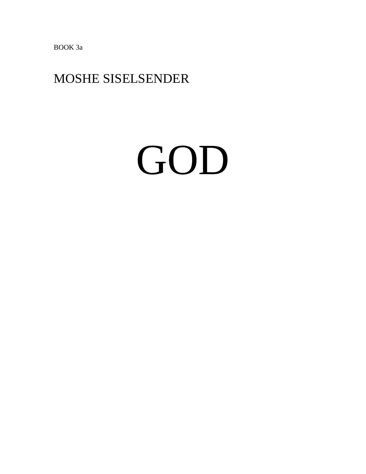BOOK 3a

### MOSHE SISELSENDER

# GOD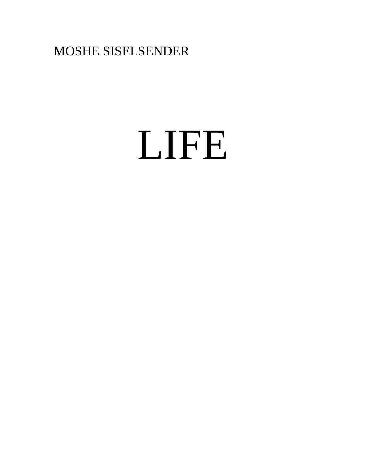MOSHE SISELSENDER

# LIFE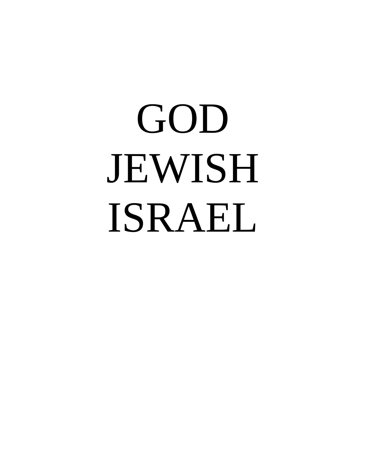# GOD JEWISH ISRAEL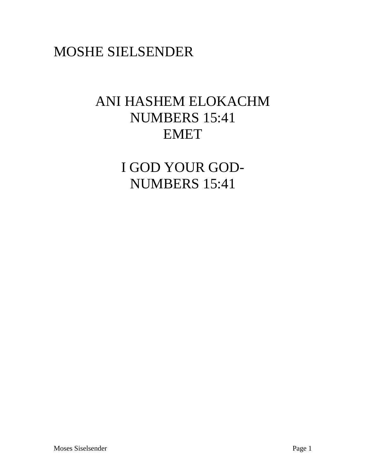### MOSHE SIELSENDER

### ANI HASHEM ELOKACHM NUMBERS 15:41 EMET

I GOD YOUR GOD-NUMBERS 15:41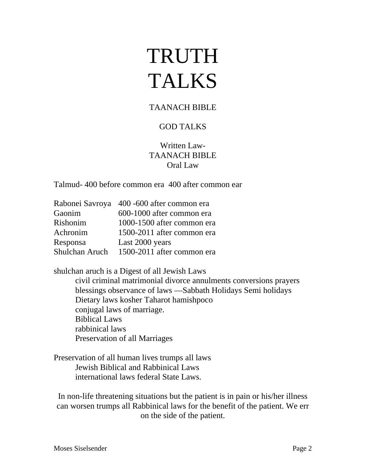# TRUTH TALKS

#### TAANACH BIBLE

#### GOD TALKS

#### Written Law-TAANACH BIBLE Oral Law

Talmud- 400 before common era 400 after common ear

| Rabonei Savroya 400 -600 after common era |
|-------------------------------------------|
| 600-1000 after common era                 |
| 1000-1500 after common era                |
| 1500-2011 after common era                |
| Last 2000 years                           |
| 1500-2011 after common era                |
|                                           |

shulchan aruch is a Digest of all Jewish Laws

civil criminal matrimonial divorce annulments conversions prayers blessings observance of laws —Sabbath Holidays Semi holidays Dietary laws kosher Taharot hamishpoco conjugal laws of marriage. Biblical Laws rabbinical laws Preservation of all Marriages

Preservation of all human lives trumps all laws Jewish Biblical and Rabbinical Laws international laws federal State Laws.

In non-life threatening situations but the patient is in pain or his/her illness can worsen trumps all Rabbinical laws for the benefit of the patient. We err on the side of the patient.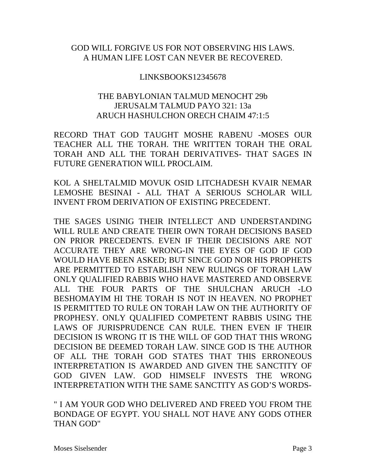#### GOD WILL FORGIVE US FOR NOT OBSERVING HIS LAWS. A HUMAN LIFE LOST CAN NEVER BE RECOVERED.

#### LINKSBOOKS12345678

#### THE BABYLONIAN TALMUD MENOCHT 29b JERUSALM TALMUD PAYO 321: 13a ARUCH HASHULCHON ORECH CHAIM 47:1:5

RECORD THAT GOD TAUGHT MOSHE RABENU -MOSES OUR TEACHER ALL THE TORAH. THE WRITTEN TORAH THE ORAL TORAH AND ALL THE TORAH DERIVATIVES- THAT SAGES IN FUTURE GENERATION WILL PROCLAIM.

KOL A SHELTALMID MOVUK OSID LITCHADESH KVAIR NEMAR LEMOSHE BESINAI - ALL THAT A SERIOUS SCHOLAR WILL INVENT FROM DERIVATION OF EXISTING PRECEDENT.

THE SAGES USINIG THEIR INTELLECT AND UNDERSTANDING WILL RULE AND CREATE THEIR OWN TORAH DECISIONS BASED ON PRIOR PRECEDENTS. EVEN IF THEIR DECISIONS ARE NOT ACCURATE THEY ARE WRONG-IN THE EYES OF GOD IF GOD WOULD HAVE BEEN ASKED; BUT SINCE GOD NOR HIS PROPHETS ARE PERMITTED TO ESTABLISH NEW RULINGS OF TORAH LAW ONLY QUALIFIED RABBIS WHO HAVE MASTERED AND OBSERVE ALL THE FOUR PARTS OF THE SHULCHAN ARUCH -LO BESHOMAYIM HI THE TORAH IS NOT IN HEAVEN. NO PROPHET IS PERMITTED TO RULE ON TORAH LAW ON THE AUTHORITY OF PROPHESY. ONLY QUALIFIED COMPETENT RABBIS USING THE LAWS OF JURISPRUDENCE CAN RULE. THEN EVEN IF THEIR DECISION IS WRONG IT IS THE WILL OF GOD THAT THIS WRONG DECISION BE DEEMED TORAH LAW. SINCE GOD IS THE AUTHOR OF ALL THE TORAH GOD STATES THAT THIS ERRONEOUS INTERPRETATION IS AWARDED AND GIVEN THE SANCTITY OF GOD GIVEN LAW. GOD HIMSELF INVESTS THE WRONG INTERPRETATION WITH THE SAME SANCTITY AS GOD'S WORDS-

" I AM YOUR GOD WHO DELIVERED AND FREED YOU FROM THE BONDAGE OF EGYPT. YOU SHALL NOT HAVE ANY GODS OTHER THAN GOD"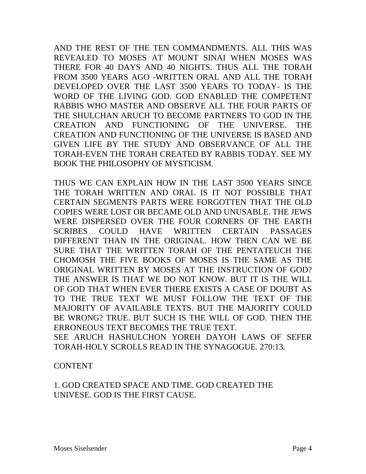AND THE REST OF THE TEN COMMANDMENTS. ALL THIS WAS REVEALED TO MOSES AT MOUNT SINAI WHEN MOSES WAS THERE FOR 40 DAYS AND 40 NIGHTS. THUS ALL THE TORAH FROM 3500 YEARS AGO -WRITTEN ORAL AND ALL THE TORAH DEVELOPED OVER THE LAST 3500 YEARS TO TODAY- IS THE WORD OF THE LIVING GOD. GOD ENABLED THE COMPETENT RABBIS WHO MASTER AND OBSERVE ALL THE FOUR PARTS OF THE SHULCHAN ARUCH TO BECOME PARTNERS TO GOD IN THE CREATION AND FUNCTIONING OF THE UNIVERSE. THE CREATION AND FUNCTIONING OF THE UNIVERSE IS BASED AND GIVEN LIFE BY THE STUDY AND OBSERVANCE OF ALL THE TORAH-EVEN THE TORAH CREATED BY RABBIS TODAY. SEE MY BOOK THE PHILOSOPHY OF MYSTICISM.

THUS WE CAN EXPLAIN HOW IN THE LAST 3500 YEARS SINCE THE TORAH WRITTEN AND ORAL IS IT NOT POSSIBLE THAT CERTAIN SEGMENTS PARTS WERE FORGOTTEN THAT THE OLD COPIES WERE LOST OR BECAME OLD AND UNUSABLE. THE JEWS WERE DISPERSED OVER THE FOUR CORNERS OF THE EARTH SCRIBES COULD HAVE WRITTEN CERTAIN PASSAGES DIFFERENT THAN IN THE ORIGINAL. HOW THEN CAN WE BE SURE THAT THE WRITTEN TORAH OF THE PENTATEUCH THE CHOMOSH THE FIVE BOOKS OF MOSES IS THE SAME AS THE ORIGINAL WRITTEN BY MOSES AT THE INSTRUCTION OF GOD? THE ANSWER IS THAT WE DO NOT KNOW. BUT IT IS THE WILL OF GOD THAT WHEN EVER THERE EXISTS A CASE OF DOUBT AS TO THE TRUE TEXT WE MUST FOLLOW THE TEXT OF THE MAJORITY OF AVAILABLE TEXTS. BUT THE MAJORITY COULD BE WRONG? TRUE. BUT SUCH IS THE WILL OF GOD. THEN THE ERRONEOUS TEXT BECOMES THE TRUE TEXT. SEE ARUCH HASHULCHON YOREH DAYOH LAWS OF SEFER

TORAH-HOLY SCROLLS READ IN THE SYNAGOGUE. 270:13.

CONTENT

1. GOD CREATED SPACE AND TIME. GOD CREATED THE UNIVESE. GOD IS THE FIRST CAUSE.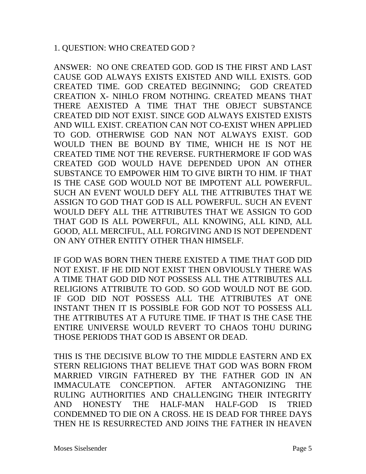#### 1. QUESTION: WHO CREATED GOD ?

ANSWER: NO ONE CREATED GOD. GOD IS THE FIRST AND LAST CAUSE GOD ALWAYS EXISTS EXISTED AND WILL EXISTS. GOD CREATED TIME. GOD CREATED BEGINNING; GOD CREATED CREATION X- NIHLO FROM NOTHING. CREATED MEANS THAT THERE AEXISTED A TIME THAT THE OBJECT SUBSTANCE CREATED DID NOT EXIST. SINCE GOD ALWAYS EXISTED EXISTS AND WILL EXIST. CREATION CAN NOT CO-EXIST WHEN APPLIED TO GOD. OTHERWISE GOD NAN NOT ALWAYS EXIST. GOD WOULD THEN BE BOUND BY TIME, WHICH HE IS NOT HE CREATED TIME NOT THE REVERSE. FURTHERMORE IF GOD WAS CREATED GOD WOULD HAVE DEPENDED UPON AN OTHER SUBSTANCE TO EMPOWER HIM TO GIVE BIRTH TO HIM. IF THAT IS THE CASE GOD WOULD NOT BE IMPOTENT ALL POWERFUL. SUCH AN EVENT WOULD DEFY ALL THE ATTRIBUTES THAT WE ASSIGN TO GOD THAT GOD IS ALL POWERFUL. SUCH AN EVENT WOULD DEFY ALL THE ATTRIBUTES THAT WE ASSIGN TO GOD THAT GOD IS ALL POWERFUL, ALL KNOWING, ALL KIND, ALL GOOD, ALL MERCIFUL, ALL FORGIVING AND IS NOT DEPENDENT ON ANY OTHER ENTITY OTHER THAN HIMSELF.

IF GOD WAS BORN THEN THERE EXISTED A TIME THAT GOD DID NOT EXIST. IF HE DID NOT EXIST THEN OBVIOUSLY THERE WAS A TIME THAT GOD DID NOT POSSESS ALL THE ATTRIBUTES ALL RELIGIONS ATTRIBUTE TO GOD. SO GOD WOULD NOT BE GOD. IF GOD DID NOT POSSESS ALL THE ATTRIBUTES AT ONE INSTANT THEN IT IS POSSIBLE FOR GOD NOT TO POSSESS ALL THE ATTRIBUTES AT A FUTURE TIME. IF THAT IS THE CASE THE ENTIRE UNIVERSE WOULD REVERT TO CHAOS TOHU DURING THOSE PERIODS THAT GOD IS ABSENT OR DEAD.

THIS IS THE DECISIVE BLOW TO THE MIDDLE EASTERN AND EX STERN RELIGIONS THAT BELIEVE THAT GOD WAS BORN FROM MARRIED VIRGIN FATHERED BY THE FATHER GOD IN AN IMMACULATE CONCEPTION. AFTER ANTAGONIZING THE RULING AUTHORITIES AND CHALLENGING THEIR INTEGRITY AND HONESTY THE HALF-MAN HALF-GOD IS TRIED CONDEMNED TO DIE ON A CROSS. HE IS DEAD FOR THREE DAYS THEN HE IS RESURRECTED AND JOINS THE FATHER IN HEAVEN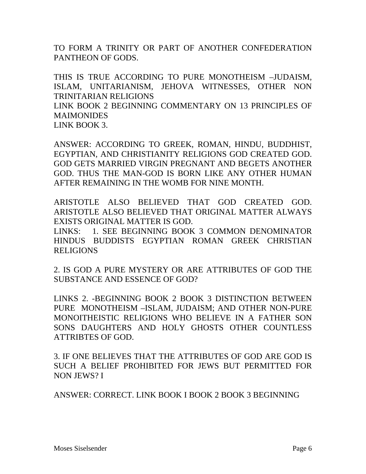TO FORM A TRINITY OR PART OF ANOTHER CONFEDERATION PANTHEON OF GODS.

THIS IS TRUE ACCORDING TO PURE MONOTHEISM –JUDAISM, ISLAM, UNITARIANISM, JEHOVA WITNESSES, OTHER NON TRINITARIAN RELIGIONS LINK BOOK 2 BEGINNING COMMENTARY ON 13 PRINCIPLES OF

**MAIMONIDES** LINK BOOK 3.

ANSWER: ACCORDING TO GREEK, ROMAN, HINDU, BUDDHIST, EGYPTIAN, AND CHRISTIANITY RELIGIONS GOD CREATED GOD. GOD GETS MARRIED VIRGIN PREGNANT AND BEGETS ANOTHER GOD. THUS THE MAN-GOD IS BORN LIKE ANY OTHER HUMAN AFTER REMAINING IN THE WOMB FOR NINE MONTH.

ARISTOTLE ALSO BELIEVED THAT GOD CREATED GOD. ARISTOTLE ALSO BELIEVED THAT ORIGINAL MATTER ALWAYS EXISTS ORIGINAL MATTER IS GOD.

LINKS: 1. SEE BEGINNING BOOK 3 COMMON DENOMINATOR HINDUS BUDDISTS EGYPTIAN ROMAN GREEK CHRISTIAN RELIGIONS

2. IS GOD A PURE MYSTERY OR ARE ATTRIBUTES OF GOD THE SUBSTANCE AND ESSENCE OF GOD?

LINKS 2. -BEGINNING BOOK 2 BOOK 3 DISTINCTION BETWEEN PURE MONOTHEISM –ISLAM, JUDAISM; AND OTHER NON-PURE MONOITHEISTIC RELIGIONS WHO BELIEVE IN A FATHER SON SONS DAUGHTERS AND HOLY GHOSTS OTHER COUNTLESS ATTRIBTES OF GOD.

3. IF ONE BELIEVES THAT THE ATTRIBUTES OF GOD ARE GOD IS SUCH A BELIEF PROHIBITED FOR JEWS BUT PERMITTED FOR NON JEWS? I

ANSWER: CORRECT. LINK BOOK I BOOK 2 BOOK 3 BEGINNING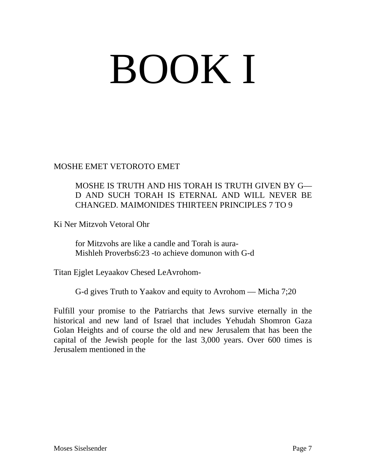# BOOK I

MOSHE EMET VETOROTO EMET

#### MOSHE IS TRUTH AND HIS TORAH IS TRUTH GIVEN BY G— D AND SUCH TORAH IS ETERNAL AND WILL NEVER BE CHANGED. MAIMONIDES THIRTEEN PRINCIPLES 7 TO 9

Ki Ner Mitzvoh Vetoral Ohr

for Mitzvohs are like a candle and Torah is aura-Mishleh Proverbs6:23 -to achieve domunon with G-d

Titan Ejglet Leyaakov Chesed LeAvrohom-

G-d gives Truth to Yaakov and equity to Avrohom — Micha 7;20

Fulfill your promise to the Patriarchs that Jews survive eternally in the historical and new land of Israel that includes Yehudah Shomron Gaza Golan Heights and of course the old and new Jerusalem that has been the capital of the Jewish people for the last 3,000 years. Over 600 times is Jerusalem mentioned in the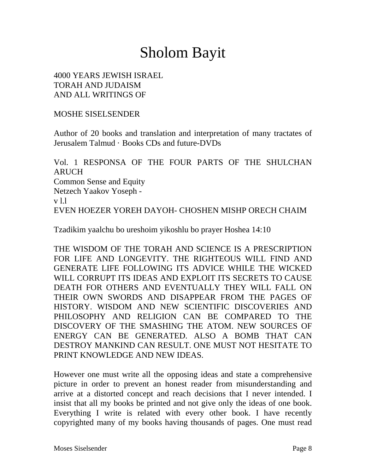## Sholom Bayit

#### 4000 YEARS JEWISH ISRAEL TORAH AND JUDAISM AND ALL WRITINGS OF

#### MOSHE SISELSENDER

Author of 20 books and translation and interpretation of many tractates of Jerusalem Talmud · Books CDs and future-DVDs

Vol. 1 RESPONSA OF THE FOUR PARTS OF THE SHULCHAN ARUCH Common Sense and Equity Netzech Yaakov Yoseph v l.l EVEN HOEZER YOREH DAYOH- CHOSHEN MISHP ORECH CHAIM

Tzadikim yaalchu bo ureshoim yikoshlu bo prayer Hoshea 14:10

THE WISDOM OF THE TORAH AND SCIENCE IS A PRESCRIPTION FOR LIFE AND LONGEVITY. THE RIGHTEOUS WILL FIND AND GENERATE LIFE FOLLOWING ITS ADVICE WHILE THE WICKED WILL CORRUPT ITS IDEAS AND EXPLOIT ITS SECRETS TO CAUSE DEATH FOR OTHERS AND EVENTUALLY THEY WILL FALL ON THEIR OWN SWORDS AND DISAPPEAR FROM THE PAGES OF HISTORY. WISDOM AND NEW SCIENTIFIC DISCOVERIES AND PHILOSOPHY AND RELIGION CAN BE COMPARED TO THE DISCOVERY OF THE SMASHING THE ATOM. NEW SOURCES OF ENERGY CAN BE GENERATED. ALSO A BOMB THAT CAN DESTROY MANKIND CAN RESULT. ONE MUST NOT HESITATE TO PRINT KNOWLEDGE AND NEW IDEAS.

However one must write all the opposing ideas and state a comprehensive picture in order to prevent an honest reader from misunderstanding and arrive at a distorted concept and reach decisions that I never intended. I insist that all my books be printed and not give only the ideas of one book. Everything I write is related with every other book. I have recently copyrighted many of my books having thousands of pages. One must read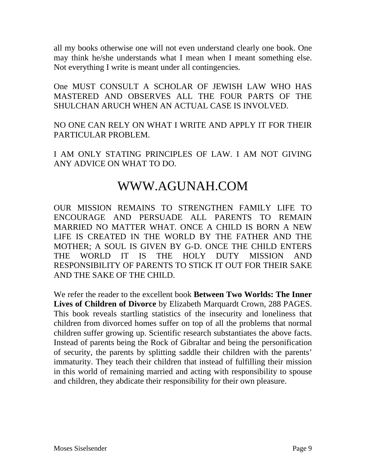all my books otherwise one will not even understand clearly one book. One may think he/she understands what I mean when I meant something else. Not everything I write is meant under all contingencies.

One MUST CONSULT A SCHOLAR OF JEWISH LAW WHO HAS MASTERED AND OBSERVES ALL THE FOUR PARTS OF THE SHULCHAN ARUCH WHEN AN ACTUAL CASE IS INVOLVED.

NO ONE CAN RELY ON WHAT I WRITE AND APPLY IT FOR THEIR PARTICULAR PROBLEM.

I AM ONLY STATING PRINCIPLES OF LAW. I AM NOT GIVING ANY ADVICE ON WHAT TO DO.

### WWW.AGUNAH.COM

OUR MISSION REMAINS TO STRENGTHEN FAMILY LIFE TO ENCOURAGE AND PERSUADE ALL PARENTS TO REMAIN MARRIED NO MATTER WHAT. ONCE A CHILD IS BORN A NEW LIFE IS CREATED IN THE WORLD BY THE FATHER AND THE MOTHER; A SOUL IS GIVEN BY G-D. ONCE THE CHILD ENTERS THE WORLD IT IS THE HOLY DUTY MISSION AND RESPONSIBILITY OF PARENTS TO STICK IT OUT FOR THEIR SAKE AND THE SAKE OF THE CHILD.

We refer the reader to the excellent book **Between Two Worlds: The Inner Lives of Children of Divorce** by Elizabeth Marquardt Crown, 288 PAGES. This book reveals startling statistics of the insecurity and loneliness that children from divorced homes suffer on top of all the problems that normal children suffer growing up. Scientific research substantiates the above facts. Instead of parents being the Rock of Gibraltar and being the personification of security, the parents by splitting saddle their children with the parents' immaturity. They teach their children that instead of fulfilling their mission in this world of remaining married and acting with responsibility to spouse and children, they abdicate their responsibility for their own pleasure.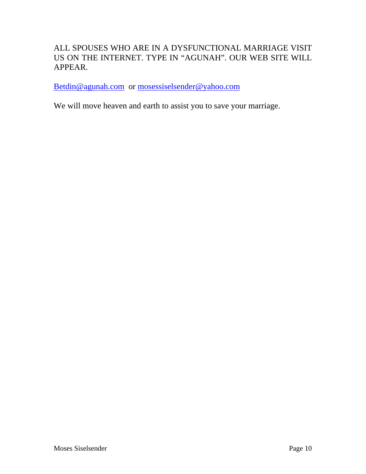#### ALL SPOUSES WHO ARE IN A DYSFUNCTIONAL MARRIAGE VISIT US ON THE INTERNET. TYPE IN "AGUNAH". OUR WEB SITE WILL APPEAR.

[Betdin@agunah.com](mailto:Betdin@agunah.com) or [mosessiselsender@yahoo.com](mailto:mosessiselsender@yahoo.com) 

We will move heaven and earth to assist you to save your marriage.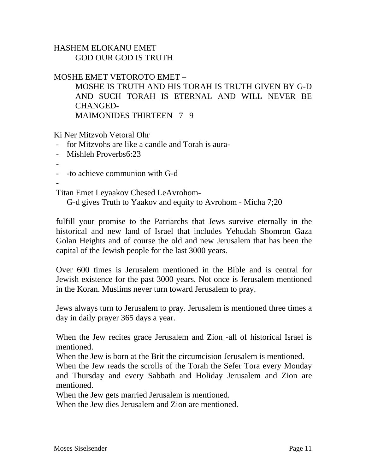#### HASHEM ELOKANU EMET GOD OUR GOD IS TRUTH

#### MOSHE EMET VETOROTO EMET –

MOSHE IS TRUTH AND HIS TORAH IS TRUTH GIVEN BY G-D AND SUCH TORAH IS ETERNAL AND WILL NEVER BE CHANGED-MAIMONIDES THIRTEEN 7 9

Ki Ner Mitzvoh Vetoral Ohr

- for Mitzvohs are like a candle and Torah is aura-
- Mishleh Proverbs6:23
- -
- -to achieve communion with G-d

-

Titan Emet Leyaakov Chesed LeAvrohom-

G-d gives Truth to Yaakov and equity to Avrohom - Micha 7;20

fulfill your promise to the Patriarchs that Jews survive eternally in the historical and new land of Israel that includes Yehudah Shomron Gaza Golan Heights and of course the old and new Jerusalem that has been the capital of the Jewish people for the last 3000 years.

Over 600 times is Jerusalem mentioned in the Bible and is central for Jewish existence for the past 3000 years. Not once is Jerusalem mentioned in the Koran. Muslims never turn toward Jerusalem to pray.

Jews always turn to Jerusalem to pray. Jerusalem is mentioned three times a day in daily prayer 365 days a year.

When the Jew recites grace Jerusalem and Zion -all of historical Israel is mentioned.

When the Jew is born at the Brit the circumcision Jerusalem is mentioned.

When the Jew reads the scrolls of the Torah the Sefer Tora every Monday and Thursday and every Sabbath and Holiday Jerusalem and Zion are mentioned.

When the Jew gets married Jerusalem is mentioned.

When the Jew dies Jerusalem and Zion are mentioned.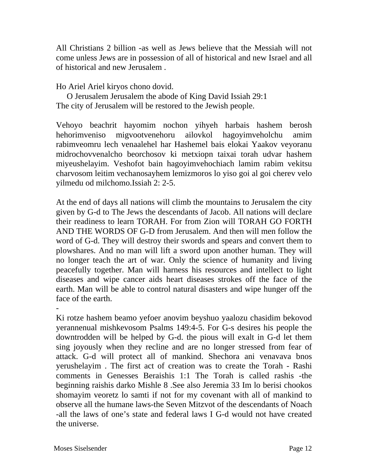All Christians 2 billion -as well as Jews believe that the Messiah will not come unless Jews are in possession of all of historical and new Israel and all of historical and new Jerusalem .

Ho Ariel Ariel kiryos chono dovid.

O Jerusalem Jerusalem the abode of King David Issiah 29:1 The city of Jerusalem will be restored to the Jewish people.

Vehoyo beachrit hayomim nochon yihyeh harbais hashem berosh hehorimveniso migvootvenehoru ailovkol hagoyimveholchu amim rabimveomru lech venaalehel har Hashemel bais elokai Yaakov veyoranu midrochovvenalcho beorchosov ki metxiopn taixai torah udvar hashem miyeushelayim. Veshofot bain hagoyimvehochiach lamim rabim vekitsu charvosom leitim vechanosayhem lemizmoros lo yiso goi al goi cherev velo yilmedu od milchomo.Issiah 2: 2-5.

At the end of days all nations will climb the mountains to Jerusalem the city given by G-d to The Jews the descendants of Jacob. All nations will declare their readiness to learn TORAH. For from Zion will TORAH GO FORTH AND THE WORDS OF G-D from Jerusalem. And then will men follow the word of G-d. They will destroy their swords and spears and convert them to plowshares. And no man will lift a sword upon another human. They will no longer teach the art of war. Only the science of humanity and living peacefully together. Man will harness his resources and intellect to light diseases and wipe cancer aids heart diseases strokes off the face of the earth. Man will be able to control natural disasters and wipe hunger off the face of the earth.

-

Ki rotze hashem beamo yefoer anovim beyshuo yaalozu chasidim bekovod yerannenual mishkevosom Psalms 149:4-5. For G-s desires his people the downtrodden will be helped by G-d. the pious will exalt in G-d let them sing joyously when they recline and are no longer stressed from fear of attack. G-d will protect all of mankind. Shechora ani venavava bnos yerushelayim . The first act of creation was to create the Torah - Rashi comments in Genesses Beraishis 1:1 The Torah is called rashis -the beginning raishis darko Mishle 8 .See also Jeremia 33 Im lo berisi chookos shomayim veoretz lo samti if not for my covenant with all of mankind to observe all the humane laws-the Seven Mitzvot of the descendants of Noach -all the laws of one's state and federal laws I G-d would not have created the universe.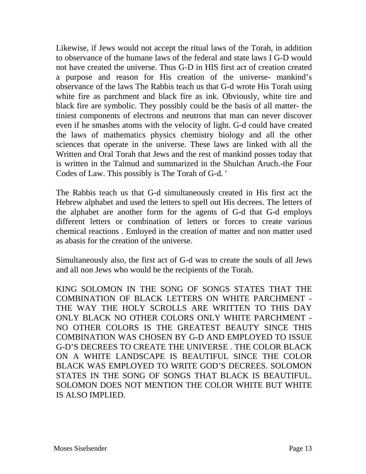Likewise, if Jews would not accept the ritual laws of the Torah, in addition to observance of the humane laws of the federal and state laws I G-D would not have created the universe. Thus G-D in HIS first act of creation created a purpose and reason for His creation of the universe- mankind's observance of the laws The Rabbis teach us that G-d wrote His Torah using white fire as parchment and black fire as ink. Obviously, white tire and black fire are symbolic. They possibly could be the basis of all matter- the tiniest components of electrons and neutrons that man can never discover even if he smashes atoms with the velocity of light. G-d could have created the laws of mathematics physics chemistry biology and all the other sciences that operate in the universe. These laws are linked with all the Written and Oral Torah that Jews and the rest of mankind posses today that is written in the Talmud and summarized in the Shulchan Aruch.-the Four Codes of Law. This possibly is The Torah of G-d. '

The Rabbis teach us that G-d simultaneously created in His first act the Hebrew alphabet and used the letters to spell out His decrees. The letters of the alphabet are another form for the agents of G-d that G-d employs different letters or combination of letters or forces to create various chemical reactions . Emloyed in the creation of matter and non matter used as abasis for the creation of the universe.

Simultaneously also, the first act of G-d was to create the souls of all Jews and all non Jews who would be the recipients of the Torah.

KING SOLOMON IN THE SONG OF SONGS STATES THAT THE COMBINATION OF BLACK LETTERS ON WHITE PARCHMENT - THE WAY THE HOLY SCROLLS ARE WRITTEN TO THIS DAY ONLY BLACK NO OTHER COLORS ONLY WHITE PARCHMENT - NO OTHER COLORS IS THE GREATEST BEAUTY SINCE THIS COMBINATION WAS CHOSEN BY G-D AND EMPLOYED TO ISSUE G-D'S DECREES TO CREATE THE UNIVERSE . THE COLOR BLACK ON A WHITE LANDSCAPE IS BEAUTIFUL SINCE THE COLOR BLACK WAS EMPLOYED TO WRITE GOD'S DECREES. SOLOMON STATES IN THE SONG OF SONGS THAT BLACK IS BEAUTIFUL. SOLOMON DOES NOT MENTION THE COLOR WHITE BUT WHITE IS ALSO IMPLIED.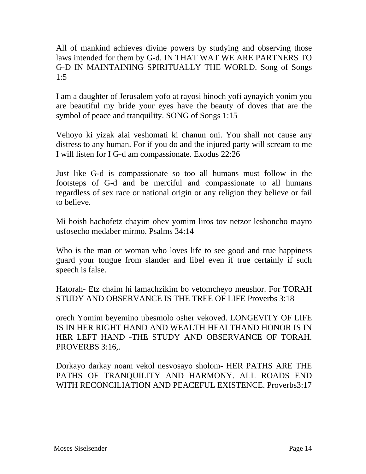All of mankind achieves divine powers by studying and observing those laws intended for them by G-d. IN THAT WAT WE ARE PARTNERS TO G-D IN MAINTAINING SPIRITUALLY THE WORLD. Song of Songs 1:5

I am a daughter of Jerusalem yofo at rayosi hinoch yofi aynayich yonim you are beautiful my bride your eyes have the beauty of doves that are the symbol of peace and tranquility. SONG of Songs 1:15

Vehoyo ki yizak alai veshomati ki chanun oni. You shall not cause any distress to any human. For if you do and the injured party will scream to me I will listen for I G-d am compassionate. Exodus 22:26

Just like G-d is compassionate so too all humans must follow in the footsteps of G-d and be merciful and compassionate to all humans regardless of sex race or national origin or any religion they believe or fail to believe.

Mi hoish hachofetz chayim ohev yomim liros tov netzor leshoncho mayro usfosecho medaber mirmo. Psalms 34:14

Who is the man or woman who loves life to see good and true happiness guard your tongue from slander and libel even if true certainly if such speech is false.

Hatorah- Etz chaim hi lamachzikim bo vetomcheyo meushor. For TORAH STUDY AND OBSERVANCE IS THE TREE OF LIFE Proverbs 3:18

orech Yomim beyemino ubesmolo osher vekoved. LONGEVITY OF LIFE IS IN HER RIGHT HAND AND WEALTH HEALTHAND HONOR IS IN HER LEFT HAND -THE STUDY AND OBSERVANCE OF TORAH. PROVERBS 3:16.

Dorkayo darkay noam vekol nesvosayo sholom- HER PATHS ARE THE PATHS OF TRANQUILITY AND HARMONY. ALL ROADS END WITH RECONCILIATION AND PEACEFUL EXISTENCE. Proverbs3:17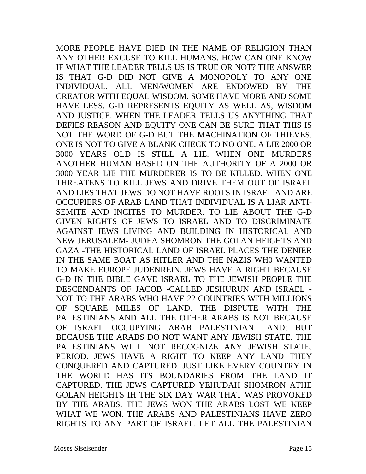MORE PEOPLE HAVE DIED IN THE NAME OF RELIGION THAN ANY OTHER EXCUSE TO KILL HUMANS. HOW CAN ONE KNOW IF WHAT THE LEADER TELLS US IS TRUE OR NOT? THE ANSWER IS THAT G-D DID NOT GIVE A MONOPOLY TO ANY ONE INDIVIDUAL. ALL MEN/WOMEN ARE ENDOWED BY THE CREATOR WITH EQUAL WISDOM. SOME HAVE MORE AND SOME HAVE LESS. G-D REPRESENTS EQUITY AS WELL AS, WISDOM AND JUSTICE. WHEN THE LEADER TELLS US ANYTHING THAT DEFIES REASON AND EQUITY ONE CAN BE SURE THAT THIS IS NOT THE WORD OF G-D BUT THE MACHINATION OF THIEVES. ONE IS NOT TO GIVE A BLANK CHECK TO NO ONE. A LIE 2000 OR 3000 YEARS OLD IS STILL A LIE. WHEN ONE MURDERS ANOTHER HUMAN BASED ON THE AUTHORITY OF A 2000 OR 3000 YEAR LIE THE MURDERER IS TO BE KILLED. WHEN ONE THREATENS TO KILL JEWS AND DRIVE THEM OUT OF ISRAEL AND LIES THAT JEWS DO NOT HAVE ROOTS IN ISRAEL AND ARE OCCUPIERS OF ARAB LAND THAT INDIVIDUAL IS A LIAR ANTI-SEMITE AND INCITES TO MURDER. TO LIE ABOUT THE G-D GIVEN RIGHTS OF JEWS TO ISRAEL AND TO DISCRIMINATE AGAINST JEWS LIVING AND BUILDING IN HISTORICAL AND NEW JERUSALEM- JUDEA SHOMRON THE GOLAN HEIGHTS AND GAZA -THE HISTORICAL LAND OF ISRAEL PLACES THE DENIER IN THE SAME BOAT AS HITLER AND THE NAZIS WH0 WANTED TO MAKE EUROPE JUDENREIN. JEWS HAVE A RIGHT BECAUSE G-D IN THE BIBLE GAVE ISRAEL TO THE JEWISH PEOPLE THE DESCENDANTS OF JACOB -CALLED JESHURUN AND ISRAEL - NOT TO THE ARABS WHO HAVE 22 COUNTRIES WITH MILLIONS OF SQUARE MILES OF LAND. THE DISPUTE WITH THE PALESTINIANS AND ALL THE OTHER ARABS IS NOT BECAUSE OF ISRAEL OCCUPYING ARAB PALESTINIAN LAND; BUT BECAUSE THE ARABS DO NOT WANT ANY JEWISH STATE. THE PALESTINIANS WILL NOT RECOGNIZE ANY JEWISH STATE. PERIOD. JEWS HAVE A RIGHT TO KEEP ANY LAND THEY CONQUERED AND CAPTURED. JUST LIKE EVERY COUNTRY IN THE WORLD HAS ITS BOUNDARIES FROM THE LAND IT CAPTURED. THE JEWS CAPTURED YEHUDAH SHOMRON ATHE GOLAN HEIGHTS IH THE SIX DAY WAR THAT WAS PROVOKED BY THE ARABS. THE JEWS WON THE ARABS LOST WE KEEP WHAT WE WON. THE ARABS AND PALESTINIANS HAVE ZERO RIGHTS TO ANY PART OF ISRAEL. LET ALL THE PALESTINIAN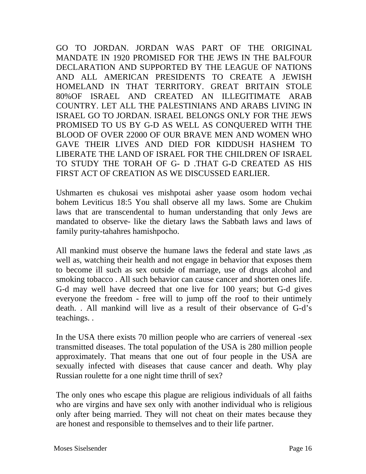GO TO JORDAN. JORDAN WAS PART OF THE ORIGINAL MANDATE IN 1920 PROMISED FOR THE JEWS IN THE BALFOUR DECLARATION AND SUPPORTED BY THE LEAGUE OF NATIONS AND ALL AMERICAN PRESIDENTS TO CREATE A JEWISH HOMELAND IN THAT TERRITORY. GREAT BRITAIN STOLE 80%OF ISRAEL AND CREATED AN ILLEGITIMATE ARAB COUNTRY. LET ALL THE PALESTINIANS AND ARABS LIVING IN ISRAEL GO TO JORDAN. ISRAEL BELONGS ONLY FOR THE JEWS PROMISED TO US BY G-D AS WELL AS CONQUERED WITH THE BLOOD OF OVER 22000 OF OUR BRAVE MEN AND WOMEN WHO GAVE THEIR LIVES AND DIED FOR KIDDUSH HASHEM TO LIBERATE THE LAND OF ISRAEL FOR THE CHILDREN OF ISRAEL TO STUDY THE TORAH OF G- D .THAT G-D CREATED AS HIS FIRST ACT OF CREATION AS WE DISCUSSED EARLIER.

Ushmarten es chukosai ves mishpotai asher yaase osom hodom vechai bohem Leviticus 18:5 You shall observe all my laws. Some are Chukim laws that are transcendental to human understanding that only Jews are mandated to observe- like the dietary laws the Sabbath laws and laws of family purity-tahahres hamishpocho.

All mankind must observe the humane laws the federal and state laws ,as well as, watching their health and not engage in behavior that exposes them to become ill such as sex outside of marriage, use of drugs alcohol and smoking tobacco . All such behavior can cause cancer and shorten ones life. G-d may well have decreed that one live for 100 years; but G-d gives everyone the freedom - free will to jump off the roof to their untimely death. . All mankind will live as a result of their observance of G-d's teachings. .

In the USA there exists 70 million people who are carriers of venereal -sex transmitted diseases. The total population of the USA is 280 million people approximately. That means that one out of four people in the USA are sexually infected with diseases that cause cancer and death. Why play Russian roulette for a one night time thrill of sex?

The only ones who escape this plague are religious individuals of all faiths who are virgins and have sex only with another individual who is religious only after being married. They will not cheat on their mates because they are honest and responsible to themselves and to their life partner.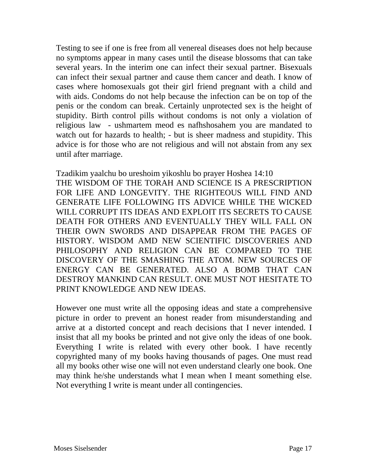Testing to see if one is free from all venereal diseases does not help because no symptoms appear in many cases until the disease blossoms that can take several years. In the interim one can infect their sexual partner. Bisexuals can infect their sexual partner and cause them cancer and death. I know of cases where homosexuals got their girl friend pregnant with a child and with aids. Condoms do not help because the infection can be on top of the penis or the condom can break. Certainly unprotected sex is the height of stupidity. Birth control pills without condoms is not only a violation of religious law - ushmartem meod es nafhshosahem you are mandated to watch out for hazards to health; - but is sheer madness and stupidity. This advice is for those who are not religious and will not abstain from any sex until after marriage.

Tzadikim yaalchu bo ureshoim yikoshlu bo prayer Hoshea 14:10 THE WISDOM OF THE TORAH AND SCIENCE IS A PRESCRIPTION FOR LIFE AND LONGEVITY. THE RIGHTEOUS WILL FIND AND GENERATE LIFE FOLLOWING ITS ADVICE WHILE THE WICKED WILL CORRUPT ITS IDEAS AND EXPLOIT ITS SECRETS TO CAUSE DEATH FOR OTHERS AND EVENTUALLY THEY WILL FALL ON THEIR OWN SWORDS AND DISAPPEAR FROM THE PAGES OF HISTORY. WISDOM AMD NEW SCIENTIFIC DISCOVERIES AND PHILOSOPHY AND RELIGION CAN BE COMPARED TO THE DISCOVERY OF THE SMASHING THE ATOM. NEW SOURCES OF ENERGY CAN BE GENERATED. ALSO A BOMB THAT CAN DESTROY MANKIND CAN RESULT. ONE MUST NOT HESITATE TO PRINT KNOWLEDGE AND NEW IDEAS.

However one must write all the opposing ideas and state a comprehensive picture in order to prevent an honest reader from misunderstanding and arrive at a distorted concept and reach decisions that I never intended. I insist that all my books be printed and not give only the ideas of one book. Everything I write is related with every other book. I have recently copyrighted many of my books having thousands of pages. One must read all my books other wise one will not even understand clearly one book. One may think he/she understands what I mean when I meant something else. Not everything I write is meant under all contingencies.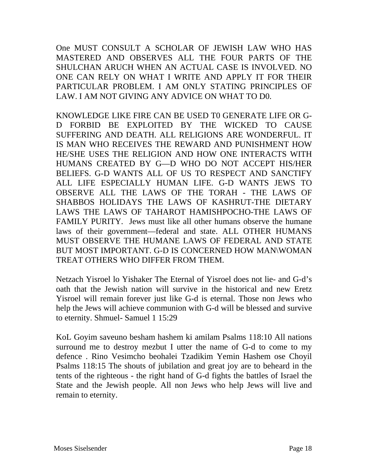One MUST CONSULT A SCHOLAR OF JEWISH LAW WHO HAS MASTERED AND OBSERVES ALL THE FOUR PARTS OF THE SHULCHAN ARUCH WHEN AN ACTUAL CASE IS INVOLVED. NO ONE CAN RELY ON WHAT I WRITE AND APPLY IT FOR THEIR PARTICULAR PROBLEM. I AM ONLY STATING PRINCIPLES OF LAW. I AM NOT GIVING ANY ADVICE ON WHAT TO D0.

KNOWLEDGE LIKE FIRE CAN BE USED T0 GENERATE LIFE OR G-D FORBID BE EXPLOITED BY THE WICKED TO CAUSE SUFFERING AND DEATH. ALL RELIGIONS ARE WONDERFUL. IT IS MAN WHO RECEIVES THE REWARD AND PUNISHMENT HOW HE/SHE USES THE RELIGION AND HOW ONE INTERACTS WITH HUMANS CREATED BY G—D WHO DO NOT ACCEPT HIS/HER BELIEFS. G-D WANTS ALL OF US TO RESPECT AND SANCTIFY ALL LIFE ESPECIALLY HUMAN LIFE. G-D WANTS JEWS TO OBSERVE ALL THE LAWS OF THE TORAH - THE LAWS OF SHABBOS HOLIDAYS THE LAWS OF KASHRUT-THE DIETARY LAWS THE LAWS OF TAHAROT HAMISHPOCHO-THE LAWS OF FAMILY PURITY. Jews must like all other humans observe the humane laws of their government—federal and state. ALL OTHER HUMANS MUST OBSERVE THE HUMANE LAWS OF FEDERAL AND STATE BUT MOST IMPORTANT. G-D IS CONCERNED HOW MAN\WOMAN TREAT OTHERS WHO DIFFER FROM THEM.

Netzach Yisroel lo Yishaker The Eternal of Yisroel does not lie- and G-d's oath that the Jewish nation will survive in the historical and new Eretz Yisroel will remain forever just like G-d is eternal. Those non Jews who help the Jews will achieve communion with G-d will be blessed and survive to eternity. Shmuel- Samuel 1 15:29

KoL Goyim saveuno besham hashem ki amilam Psalms 118:10 All nations surround me to destroy mezbut I utter the name of G-d to come to my defence . Rino Vesimcho beohalei Tzadikim Yemin Hashem ose Choyil Psalms 118:15 The shouts of jubilation and great joy are to beheard in the tents of the righteous - the right hand of G-d fights the battles of Israel the State and the Jewish people. All non Jews who help Jews will live and remain to eternity.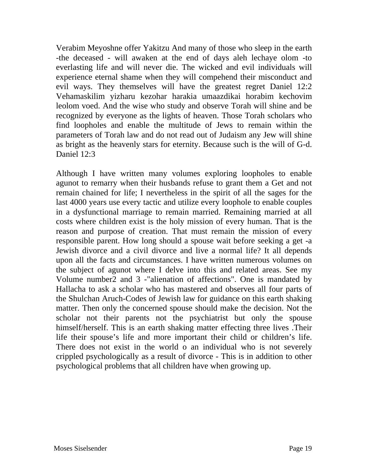Verabim Meyoshne offer Yakitzu And many of those who sleep in the earth -the deceased - will awaken at the end of days aleh lechaye olom -to everlasting life and will never die. The wicked and evil individuals will experience eternal shame when they will compehend their misconduct and evil ways. They themselves will have the greatest regret Daniel 12:2 Vehamaskilim yizharu kezohar harakia umaazdikai horabim kechovim leolom voed. And the wise who study and observe Torah will shine and be recognized by everyone as the lights of heaven. Those Torah scholars who find loopholes and enable the multitude of Jews to remain within the parameters of Torah law and do not read out of Judaism any Jew will shine as bright as the heavenly stars for eternity. Because such is the will of G-d. Daniel 12:3

Although I have written many volumes exploring loopholes to enable agunot to remarry when their husbands refuse to grant them a Get and not remain chained for life; I nevertheless in the spirit of all the sages for the last 4000 years use every tactic and utilize every loophole to enable couples in a dysfunctional marriage to remain married. Remaining married at all costs where children exist is the holy mission of every human. That is the reason and purpose of creation. That must remain the mission of every responsible parent. How long should a spouse wait before seeking a get -a Jewish divorce and a civil divorce and live a normal life? It all depends upon all the facts and circumstances. I have written numerous volumes on the subject of agunot where I delve into this and related areas. See my Volume number2 and 3 -"alienation of affections". One is mandated by Hallacha to ask a scholar who has mastered and observes all four parts of the Shulchan Aruch-Codes of Jewish law for guidance on this earth shaking matter. Then only the concerned spouse should make the decision. Not the scholar not their parents not the psychiatrist but only the spouse himself/herself. This is an earth shaking matter effecting three lives .Their life their spouse's life and more important their child or children's life. There does not exist in the world o an individual who is not severely crippled psychologically as a result of divorce - This is in addition to other psychological problems that all children have when growing up.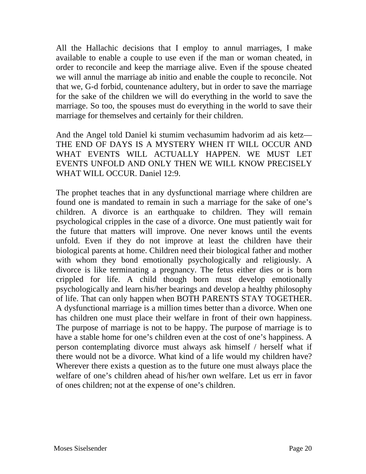All the Hallachic decisions that I employ to annul marriages, I make available to enable a couple to use even if the man or woman cheated, in order to reconcile and keep the marriage alive. Even if the spouse cheated we will annul the marriage ab initio and enable the couple to reconcile. Not that we, G-d forbid, countenance adultery, but in order to save the marriage for the sake of the children we will do everything in the world to save the marriage. So too, the spouses must do everything in the world to save their marriage for themselves and certainly for their children.

And the Angel told Daniel ki stumim vechasumim hadvorim ad ais ketz— THE END OF DAYS IS A MYSTERY WHEN IT WILL OCCUR AND WHAT EVENTS WILL ACTUALLY HAPPEN. WE MUST LET EVENTS UNFOLD AND ONLY THEN WE WILL KNOW PRECISELY WHAT WILL OCCUR. Daniel 12:9.

The prophet teaches that in any dysfunctional marriage where children are found one is mandated to remain in such a marriage for the sake of one's children. A divorce is an earthquake to children. They will remain psychological cripples in the case of a divorce. One must patiently wait for the future that matters will improve. One never knows until the events unfold. Even if they do not improve at least the children have their biological parents at home. Children need their biological father and mother with whom they bond emotionally psychologically and religiously. A divorce is like terminating a pregnancy. The fetus either dies or is born crippled for life. A child though born must develop emotionally psychologically and learn his/her bearings and develop a healthy philosophy of life. That can only happen when BOTH PARENTS STAY TOGETHER. A dysfunctional marriage is a million times better than a divorce. When one has children one must place their welfare in front of their own happiness. The purpose of marriage is not to be happy. The purpose of marriage is to have a stable home for one's children even at the cost of one's happiness. A person contemplating divorce must always ask himself / herself what if there would not be a divorce. What kind of a life would my children have? Wherever there exists a question as to the future one must always place the welfare of one's children ahead of his/her own welfare. Let us err in favor of ones children; not at the expense of one's children.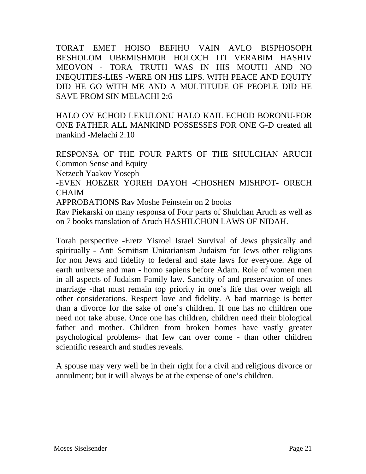TORAT EMET HOISO BEFIHU VAIN AVLO BISPHOSOPH BESHOLOM UBEMISHMOR HOLOCH ITI VERABIM HASHIV MEOVON - TORA TRUTH WAS IN HIS MOUTH AND NO INEQUITIES-LIES -WERE ON HIS LIPS. WITH PEACE AND EQUITY DID HE GO WITH ME AND A MULTITUDE OF PEOPLE DID HE SAVE FROM SIN MELACHI 2:6

HALO OV ECHOD LEKULONU HALO KAIL ECHOD BORONU-FOR ONE FATHER ALL MANKIND POSSESSES FOR ONE G-D created all mankind -Melachi 2:10

RESPONSA OF THE FOUR PARTS OF THE SHULCHAN ARUCH Common Sense and Equity Netzech Yaakov Yoseph -EVEN HOEZER YOREH DAYOH -CHOSHEN MISHPOT- ORECH **CHAIM** APPROBATIONS Rav Moshe Feinstein on 2 books Rav Piekarski on many responsa of Four parts of Shulchan Aruch as well as on 7 books translation of Aruch HASHILCHON LAWS OF NIDAH.

Torah perspective -Eretz Yisroel Israel Survival of Jews physically and spiritually - Anti Semitism Unitarianism Judaism for Jews other religions for non Jews and fidelity to federal and state laws for everyone. Age of earth universe and man - homo sapiens before Adam. Role of women men in all aspects of Judaism Family law. Sanctity of and preservation of ones marriage -that must remain top priority in one's life that over weigh all other considerations. Respect love and fidelity. A bad marriage is better than a divorce for the sake of one's children. If one has no children one need not take abuse. Once one has children, children need their biological father and mother. Children from broken homes have vastly greater psychological problems- that few can over come - than other children scientific research and studies reveals.

A spouse may very well be in their right for a civil and religious divorce or annulment; but it will always be at the expense of one's children.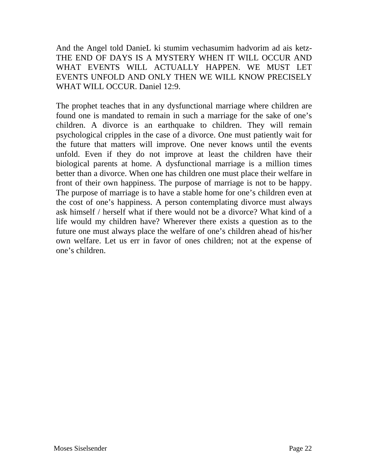And the Angel told DanieL ki stumim vechasumim hadvorim ad ais ketz-THE END OF DAYS IS A MYSTERY WHEN IT WILL OCCUR AND WHAT EVENTS WILL ACTUALLY HAPPEN. WE MUST LET EVENTS UNFOLD AND ONLY THEN WE WILL KNOW PRECISELY WHAT WILL OCCUR. Daniel 12:9.

The prophet teaches that in any dysfunctional marriage where children are found one is mandated to remain in such a marriage for the sake of one's children. A divorce is an earthquake to children. They will remain psychological cripples in the case of a divorce. One must patiently wait for the future that matters will improve. One never knows until the events unfold. Even if they do not improve at least the children have their biological parents at home. A dysfunctional marriage is a million times better than a divorce. When one has children one must place their welfare in front of their own happiness. The purpose of marriage is not to be happy. The purpose of marriage is to have a stable home for one's children even at the cost of one's happiness. A person contemplating divorce must always ask himself / herself what if there would not be a divorce? What kind of a life would my children have? Wherever there exists a question as to the future one must always place the welfare of one's children ahead of his/her own welfare. Let us err in favor of ones children; not at the expense of one's children.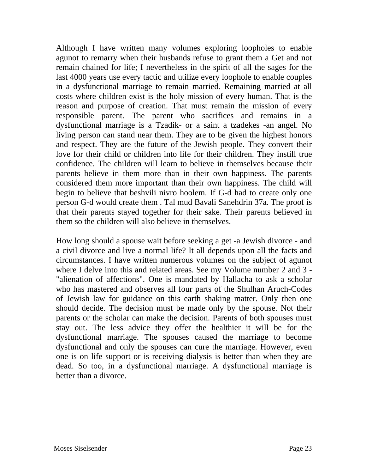Although I have written many volumes exploring loopholes to enable agunot to remarry when their husbands refuse to grant them a Get and not remain chained for life; I nevertheless in the spirit of all the sages for the last 4000 years use every tactic and utilize every loophole to enable couples in a dysfunctional marriage to remain married. Remaining married at all costs where children exist is the holy mission of every human. That is the reason and purpose of creation. That must remain the mission of every responsible parent. The parent who sacrifices and remains in a dysfunctional marriage is a Tzadik- or a saint a tzadekes -an angel. No living person can stand near them. They are to be given the highest honors and respect. They are the future of the Jewish people. They convert their love for their child or children into life for their children. They instill true confidence. The children will learn to believe in themselves because their parents believe in them more than in their own happiness. The parents considered them more important than their own happiness. The child will begin to believe that beshvili nivro hoolem. If G-d had to create only one person G-d would create them . Tal mud Bavali Sanehdrin 37a. The proof is that their parents stayed together for their sake. Their parents believed in them so the children will also believe in themselves.

How long should a spouse wait before seeking a get -a Jewish divorce - and a civil divorce and live a normal life? It all depends upon all the facts and circumstances. I have written numerous volumes on the subject of agunot where I delve into this and related areas. See my Volume number 2 and 3 - "alienation of affections". One is mandated by Hallacha to ask a scholar who has mastered and observes all four parts of the Shulhan Aruch-Codes of Jewish law for guidance on this earth shaking matter. Only then one should decide. The decision must be made only by the spouse. Not their parents or the scholar can make the decision. Parents of both spouses must stay out. The less advice they offer the healthier it will be for the dysfunctional marriage. The spouses caused the marriage to become dysfunctional and only the spouses can cure the marriage. However, even one is on life support or is receiving dialysis is better than when they are dead. So too, in a dysfunctional marriage. A dysfunctional marriage is better than a divorce.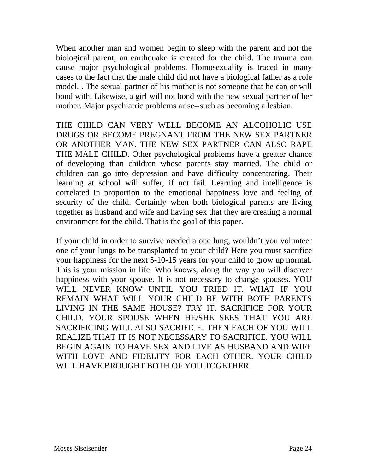When another man and women begin to sleep with the parent and not the biological parent, an earthquake is created for the child. The trauma can cause major psychological problems. Homosexuality is traced in many cases to the fact that the male child did not have a biological father as a role model. . The sexual partner of his mother is not someone that he can or will bond with. Likewise, a girl will not bond with the new sexual partner of her mother. Major psychiatric problems arise--such as becoming a lesbian.

THE CHILD CAN VERY WELL BECOME AN ALCOHOLIC USE DRUGS OR BECOME PREGNANT FROM THE NEW SEX PARTNER OR ANOTHER MAN. THE NEW SEX PARTNER CAN ALSO RAPE THE MALE CHILD. Other psychological problems have a greater chance of developing than children whose parents stay married. The child or children can go into depression and have difficulty concentrating. Their learning at school will suffer, if not fail. Learning and intelligence is correlated in proportion to the emotional happiness love and feeling of security of the child. Certainly when both biological parents are living together as husband and wife and having sex that they are creating a normal environment for the child. That is the goal of this paper.

If your child in order to survive needed a one lung, wouldn't you volunteer one of your lungs to be transplanted to your child? Here you must sacrifice your happiness for the next 5-10-15 years for your child to grow up normal. This is your mission in life. Who knows, along the way you will discover happiness with your spouse. It is not necessary to change spouses. YOU WILL NEVER KNOW UNTIL YOU TRIED IT. WHAT IF YOU REMAIN WHAT WILL YOUR CHILD BE WITH BOTH PARENTS LIVING IN THE SAME HOUSE? TRY IT. SACRIFICE FOR YOUR CHILD. YOUR SPOUSE WHEN HE/SHE SEES THAT YOU ARE SACRIFICING WILL ALSO SACRIFICE. THEN EACH OF YOU WILL REALIZE THAT IT IS NOT NECESSARY TO SACRIFICE. YOU WILL BEGIN AGAIN TO HAVE SEX AND LIVE AS HUSBAND AND WIFE WITH LOVE AND FIDELITY FOR EACH OTHER. YOUR CHILD WILL HAVE BROUGHT BOTH OF YOU TOGETHER.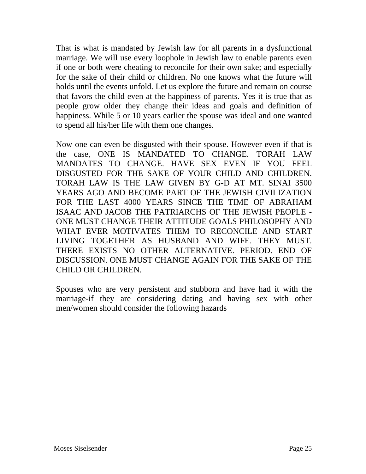That is what is mandated by Jewish law for all parents in a dysfunctional marriage. We will use every loophole in Jewish law to enable parents even if one or both were cheating to reconcile for their own sake; and especially for the sake of their child or children. No one knows what the future will holds until the events unfold. Let us explore the future and remain on course that favors the child even at the happiness of parents. Yes it is true that as people grow older they change their ideas and goals and definition of happiness. While 5 or 10 years earlier the spouse was ideal and one wanted to spend all his/her life with them one changes.

Now one can even be disgusted with their spouse. However even if that is the case, ONE IS MANDATED TO CHANGE. TORAH LAW MANDATES TO CHANGE. HAVE SEX EVEN IF YOU FEEL DISGUSTED FOR THE SAKE OF YOUR CHILD AND CHILDREN. TORAH LAW IS THE LAW GIVEN BY G-D AT MT. SINAI 3500 YEARS AGO AND BECOME PART OF THE JEWISH CIVILIZATION FOR THE LAST 4000 YEARS SINCE THE TIME OF ABRAHAM ISAAC AND JACOB THE PATRIARCHS OF THE JEWISH PEOPLE - ONE MUST CHANGE THEIR ATTITUDE GOALS PHILOSOPHY AND WHAT EVER MOTIVATES THEM TO RECONCILE AND START LIVING TOGETHER AS HUSBAND AND WIFE. THEY MUST. THERE EXISTS NO OTHER ALTERNATIVE. PERIOD. END OF DISCUSSION. ONE MUST CHANGE AGAIN FOR THE SAKE OF THE CHILD OR CHILDREN.

Spouses who are very persistent and stubborn and have had it with the marriage-if they are considering dating and having sex with other men/women should consider the following hazards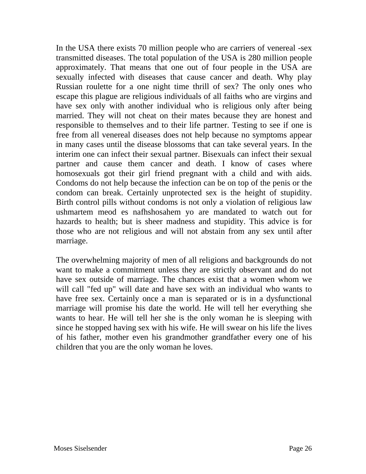In the USA there exists 70 million people who are carriers of venereal -sex transmitted diseases. The total population of the USA is 280 million people approximately. That means that one out of four people in the USA are sexually infected with diseases that cause cancer and death. Why play Russian roulette for a one night time thrill of sex? The only ones who escape this plague are religious individuals of all faiths who are virgins and have sex only with another individual who is religious only after being married. They will not cheat on their mates because they are honest and responsible to themselves and to their life partner. Testing to see if one is free from all venereal diseases does not help because no symptoms appear in many cases until the disease blossoms that can take several years. In the interim one can infect their sexual partner. Bisexuals can infect their sexual partner and cause them cancer and death. I know of cases where homosexuals got their girl friend pregnant with a child and with aids. Condoms do not help because the infection can be on top of the penis or the condom can break. Certainly unprotected sex is the height of stupidity. Birth control pills without condoms is not only a violation of religious law ushmartem meod es nafhshosahem yo are mandated to watch out for hazards to health; but is sheer madness and stupidity. This advice is for those who are not religious and will not abstain from any sex until after marriage.

The overwhelming majority of men of all religions and backgrounds do not want to make a commitment unless they are strictly observant and do not have sex outside of marriage. The chances exist that a women whom we will call "fed up" will date and have sex with an individual who wants to have free sex. Certainly once a man is separated or is in a dysfunctional marriage will promise his date the world. He will tell her everything she wants to hear. He will tell her she is the only woman he is sleeping with since he stopped having sex with his wife. He will swear on his life the lives of his father, mother even his grandmother grandfather every one of his children that you are the only woman he loves.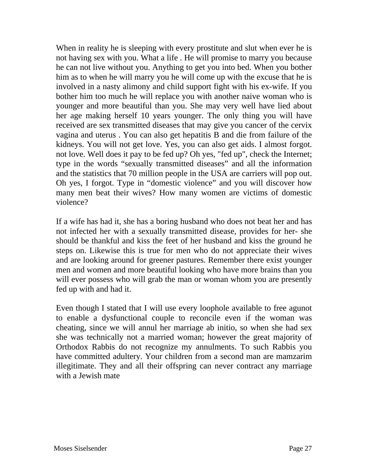When in reality he is sleeping with every prostitute and slut when ever he is not having sex with you. What a life . He will promise to marry you because he can not live without you. Anything to get you into bed. When you bother him as to when he will marry you he will come up with the excuse that he is involved in a nasty alimony and child support fight with his ex-wife. If you bother him too much he will replace you with another naive woman who is younger and more beautiful than you. She may very well have lied about her age making herself 10 years younger. The only thing you will have received are sex transmitted diseases that may give you cancer of the cervix vagina and uterus . You can also get hepatitis B and die from failure of the kidneys. You will not get love. Yes, you can also get aids. I almost forgot. not love. Well does it pay to be fed up? Oh yes, "fed up", check the Internet; type in the words "sexually transmitted diseases" and all the information and the statistics that 70 million people in the USA are carriers will pop out. Oh yes, I forgot. Type in "domestic violence" and you will discover how many men beat their wives? How many women are victims of domestic violence?

If a wife has had it, she has a boring husband who does not beat her and has not infected her with a sexually transmitted disease, provides for her- she should be thankful and kiss the feet of her husband and kiss the ground he steps on. Likewise this is true for men who do not appreciate their wives and are looking around for greener pastures. Remember there exist younger men and women and more beautiful looking who have more brains than you will ever possess who will grab the man or woman whom you are presently fed up with and had it.

Even though I stated that I will use every loophole available to free agunot to enable a dysfunctional couple to reconcile even if the woman was cheating, since we will annul her marriage ab initio, so when she had sex she was technically not a married woman; however the great majority of Orthodox Rabbis do not recognize my annulments. To such Rabbis you have committed adultery. Your children from a second man are mamzarim illegitimate. They and all their offspring can never contract any marriage with a Jewish mate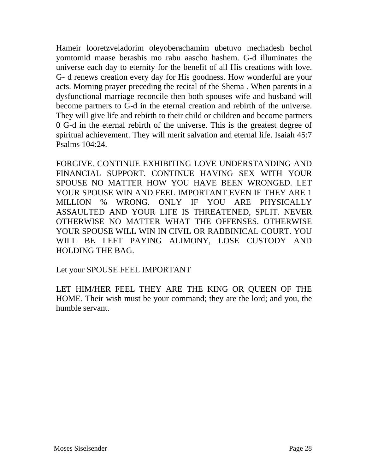Hameir looretzveladorim oleyoberachamim ubetuvo mechadesh bechol yomtomid maase berashis mo rabu aascho hashem. G-d illuminates the universe each day to eternity for the benefit of all His creations with love. G- d renews creation every day for His goodness. How wonderful are your acts. Morning prayer preceding the recital of the Shema . When parents in a dysfunctional marriage reconcile then both spouses wife and husband will become partners to G-d in the eternal creation and rebirth of the universe. They will give life and rebirth to their child or children and become partners 0 G-d in the eternal rebirth of the universe. This is the greatest degree of spiritual achievement. They will merit salvation and eternal life. Isaiah 45:7 Psalms 104:24.

FORGIVE. CONTINUE EXHIBITING LOVE UNDERSTANDING AND FINANCIAL SUPPORT. CONTINUE HAVING SEX WITH YOUR SPOUSE NO MATTER HOW YOU HAVE BEEN WRONGED. LET YOUR SPOUSE WIN AND FEEL IMPORTANT EVEN IF THEY ARE 1 MILLION % WRONG. ONLY IF YOU ARE PHYSICALLY ASSAULTED AND YOUR LIFE IS THREATENED, SPLIT. NEVER OTHERWISE NO MATTER WHAT THE OFFENSES. OTHERWISE YOUR SPOUSE WILL WIN IN CIVIL OR RABBINICAL COURT. YOU WILL BE LEFT PAYING ALIMONY, LOSE CUSTODY AND HOLDING THE BAG.

Let your SPOUSE FEEL IMPORTANT

LET HIM/HER FEEL THEY ARE THE KING OR QUEEN OF THE HOME. Their wish must be your command; they are the lord; and you, the humble servant.